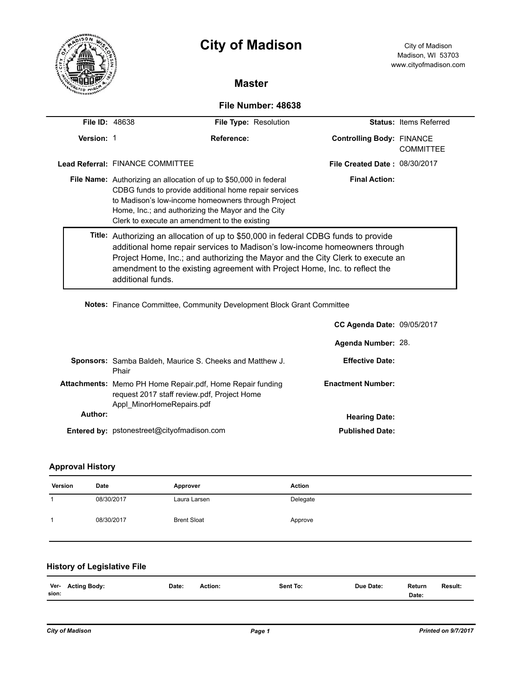|                       |                                                                                                                                                                                                                                                                                                                                                        | <b>City of Madison</b><br><b>Master</b>                                                                                                                                                                                                                                                                         |                                      |                               |  |  |  |
|-----------------------|--------------------------------------------------------------------------------------------------------------------------------------------------------------------------------------------------------------------------------------------------------------------------------------------------------------------------------------------------------|-----------------------------------------------------------------------------------------------------------------------------------------------------------------------------------------------------------------------------------------------------------------------------------------------------------------|--------------------------------------|-------------------------------|--|--|--|
|                       |                                                                                                                                                                                                                                                                                                                                                        |                                                                                                                                                                                                                                                                                                                 |                                      |                               |  |  |  |
| File Number: 48638    |                                                                                                                                                                                                                                                                                                                                                        |                                                                                                                                                                                                                                                                                                                 |                                      |                               |  |  |  |
| <b>File ID: 48638</b> |                                                                                                                                                                                                                                                                                                                                                        | File Type: Resolution                                                                                                                                                                                                                                                                                           |                                      | <b>Status: Items Referred</b> |  |  |  |
| Version: 1            |                                                                                                                                                                                                                                                                                                                                                        | Reference:                                                                                                                                                                                                                                                                                                      | <b>Controlling Body: FINANCE</b>     | <b>COMMITTEE</b>              |  |  |  |
|                       | Lead Referral: FINANCE COMMITTEE                                                                                                                                                                                                                                                                                                                       |                                                                                                                                                                                                                                                                                                                 | <b>File Created Date: 08/30/2017</b> |                               |  |  |  |
|                       |                                                                                                                                                                                                                                                                                                                                                        | <b>Final Action:</b><br>File Name: Authorizing an allocation of up to \$50,000 in federal<br>CDBG funds to provide additional home repair services<br>to Madison's low-income homeowners through Project<br>Home, Inc.; and authorizing the Mayor and the City<br>Clerk to execute an amendment to the existing |                                      |                               |  |  |  |
|                       | Title: Authorizing an allocation of up to \$50,000 in federal CDBG funds to provide<br>additional home repair services to Madison's low-income homeowners through<br>Project Home, Inc.; and authorizing the Mayor and the City Clerk to execute an<br>amendment to the existing agreement with Project Home, Inc. to reflect the<br>additional funds. |                                                                                                                                                                                                                                                                                                                 |                                      |                               |  |  |  |

**Notes:** Finance Committee, Community Development Block Grant Committee

|         |                                                                                                                                              | <b>CC Agenda Date: 09/05/2017</b> |  |
|---------|----------------------------------------------------------------------------------------------------------------------------------------------|-----------------------------------|--|
|         |                                                                                                                                              | Agenda Number: 28.                |  |
|         | <b>Sponsors:</b> Samba Baldeh, Maurice S. Cheeks and Matthew J.<br>Phair                                                                     | <b>Effective Date:</b>            |  |
|         | <b>Attachments:</b> Memo PH Home Repair.pdf, Home Repair funding<br>request 2017 staff review.pdf, Project Home<br>Appl MinorHomeRepairs.pdf | <b>Enactment Number:</b>          |  |
| Author: |                                                                                                                                              | <b>Hearing Date:</b>              |  |
|         | <b>Entered by:</b> pstonestreet@cityofmadison.com                                                                                            | <b>Published Date:</b>            |  |

# **Approval History**

| Version | Date       | Approver           | <b>Action</b> |
|---------|------------|--------------------|---------------|
|         | 08/30/2017 | Laura Larsen       | Delegate      |
|         | 08/30/2017 | <b>Brent Sloat</b> | Approve       |

## **History of Legislative File**

| Ver-  | <b>Acting Body:</b> | Date: | Action: | Sent To: | Due Date: | Return | Result: |
|-------|---------------------|-------|---------|----------|-----------|--------|---------|
| sion: |                     |       |         |          |           | Date:  |         |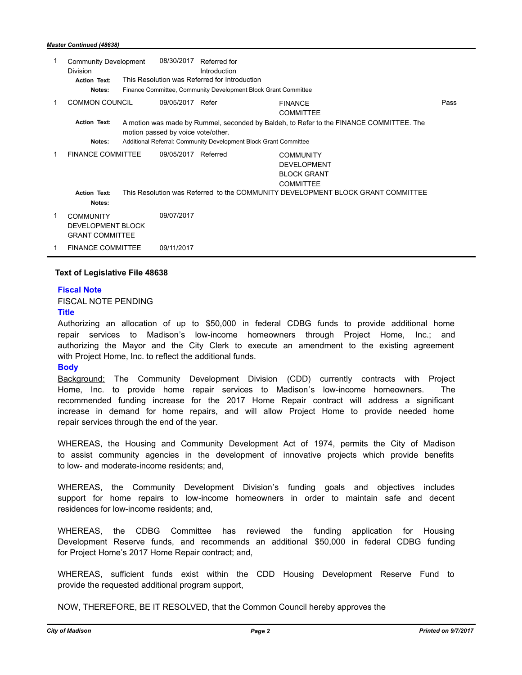#### *Master Continued (48638)*

| 1 | <b>Community Development</b><br><b>Division</b>                 |                                               | 08/30/2017                                                                                                                    | Referred for<br>Introduction                                     |                                                                                  |      |
|---|-----------------------------------------------------------------|-----------------------------------------------|-------------------------------------------------------------------------------------------------------------------------------|------------------------------------------------------------------|----------------------------------------------------------------------------------|------|
|   | <b>Action Text:</b>                                             | This Resolution was Referred for Introduction |                                                                                                                               |                                                                  |                                                                                  |      |
|   | Notes:                                                          |                                               |                                                                                                                               | Finance Committee, Community Development Block Grant Committee   |                                                                                  |      |
| 1 | <b>COMMON COUNCIL</b>                                           |                                               | 09/05/2017 Refer                                                                                                              |                                                                  | <b>FINANCE</b><br><b>COMMITTEE</b>                                               | Pass |
|   | <b>Action Text:</b>                                             |                                               | A motion was made by Rummel, seconded by Baldeh, to Refer to the FINANCE COMMITTEE. The<br>motion passed by voice vote/other. |                                                                  |                                                                                  |      |
|   | Notes:                                                          |                                               |                                                                                                                               | Additional Referral: Community Development Block Grant Committee |                                                                                  |      |
| 1 | <b>FINANCE COMMITTEE</b>                                        |                                               | 09/05/2017                                                                                                                    | Referred                                                         | <b>COMMUNITY</b><br><b>DEVELOPMENT</b><br><b>BLOCK GRANT</b><br><b>COMMITTEE</b> |      |
|   | <b>Action Text:</b><br>Notes:                                   |                                               |                                                                                                                               |                                                                  | This Resolution was Referred to the COMMUNITY DEVELOPMENT BLOCK GRANT COMMITTEE  |      |
| 1 | <b>COMMUNITY</b><br>DEVELOPMENT BLOCK<br><b>GRANT COMMITTEE</b> |                                               | 09/07/2017                                                                                                                    |                                                                  |                                                                                  |      |
| 1 | <b>FINANCE COMMITTEE</b>                                        |                                               | 09/11/2017                                                                                                                    |                                                                  |                                                                                  |      |

#### **Text of Legislative File 48638**

#### **Fiscal Note**

FISCAL NOTE PENDING

### **Title**

Authorizing an allocation of up to \$50,000 in federal CDBG funds to provide additional home repair services to Madison's low-income homeowners through Project Home, Inc.; and authorizing the Mayor and the City Clerk to execute an amendment to the existing agreement with Project Home, Inc. to reflect the additional funds.

### **Body**

Background: The Community Development Division (CDD) currently contracts with Project Home, Inc. to provide home repair services to Madison's low-income homeowners. The recommended funding increase for the 2017 Home Repair contract will address a significant increase in demand for home repairs, and will allow Project Home to provide needed home repair services through the end of the year.

WHEREAS, the Housing and Community Development Act of 1974, permits the City of Madison to assist community agencies in the development of innovative projects which provide benefits to low- and moderate-income residents; and,

WHEREAS, the Community Development Division's funding goals and objectives includes support for home repairs to low-income homeowners in order to maintain safe and decent residences for low-income residents; and,

WHEREAS, the CDBG Committee has reviewed the funding application for Housing Development Reserve funds, and recommends an additional \$50,000 in federal CDBG funding for Project Home's 2017 Home Repair contract; and,

WHEREAS, sufficient funds exist within the CDD Housing Development Reserve Fund to provide the requested additional program support,

NOW, THEREFORE, BE IT RESOLVED, that the Common Council hereby approves the